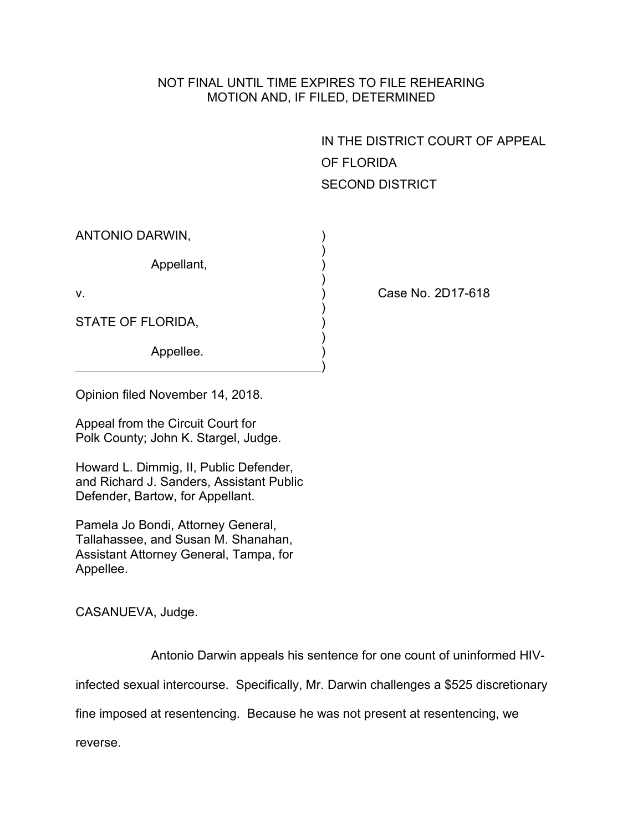## NOT FINAL UNTIL TIME EXPIRES TO FILE REHEARING MOTION AND, IF FILED, DETERMINED

IN THE DISTRICT COURT OF APPEAL OF FLORIDA SECOND DISTRICT

| ANTONIO DARWIN,   |  |
|-------------------|--|
| Appellant,        |  |
| V.                |  |
| STATE OF FLORIDA, |  |
| Appellee.         |  |

Case No. 2D17-618

Opinion filed November 14, 2018.

Appeal from the Circuit Court for Polk County; John K. Stargel, Judge.

Howard L. Dimmig, II, Public Defender, and Richard J. Sanders, Assistant Public Defender, Bartow, for Appellant.

Pamela Jo Bondi, Attorney General, Tallahassee, and Susan M. Shanahan, Assistant Attorney General, Tampa, for Appellee.

CASANUEVA, Judge.

Antonio Darwin appeals his sentence for one count of uninformed HIV-

infected sexual intercourse. Specifically, Mr. Darwin challenges a \$525 discretionary

fine imposed at resentencing. Because he was not present at resentencing, we

reverse.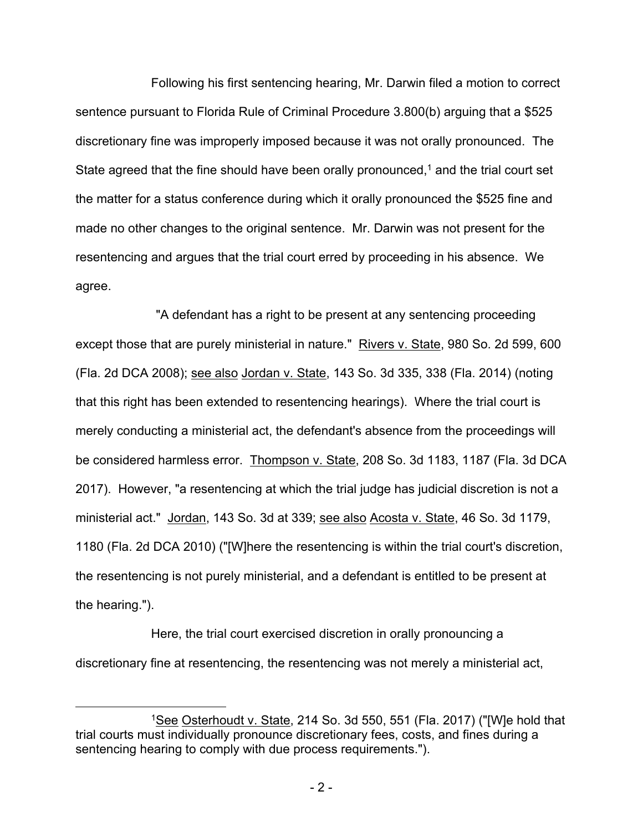Following his first sentencing hearing, Mr. Darwin filed a motion to correct sentence pursuant to Florida Rule of Criminal Procedure 3.800(b) arguing that a \$525 discretionary fine was improperly imposed because it was not orally pronounced. The State agreed that the fine should have been orally pronounced, $1$  and the trial court set the matter for a status conference during which it orally pronounced the \$525 fine and made no other changes to the original sentence. Mr. Darwin was not present for the resentencing and argues that the trial court erred by proceeding in his absence. We agree.

"A defendant has a right to be present at any sentencing proceeding except those that are purely ministerial in nature." Rivers v. State, 980 So. 2d 599, 600 (Fla. 2d DCA 2008); see also Jordan v. State, 143 So. 3d 335, 338 (Fla. 2014) (noting that this right has been extended to resentencing hearings). Where the trial court is merely conducting a ministerial act, the defendant's absence from the proceedings will be considered harmless error. Thompson v. State, 208 So. 3d 1183, 1187 (Fla. 3d DCA 2017). However, "a resentencing at which the trial judge has judicial discretion is not a ministerial act." Jordan, 143 So. 3d at 339; see also Acosta v. State, 46 So. 3d 1179, 1180 (Fla. 2d DCA 2010) ("[W]here the resentencing is within the trial court's discretion, the resentencing is not purely ministerial, and a defendant is entitled to be present at the hearing.").

Here, the trial court exercised discretion in orally pronouncing a discretionary fine at resentencing, the resentencing was not merely a ministerial act,

<sup>1</sup>See Osterhoudt v. State, 214 So. 3d 550, 551 (Fla. 2017) ("[W]e hold that trial courts must individually pronounce discretionary fees, costs, and fines during a sentencing hearing to comply with due process requirements.").